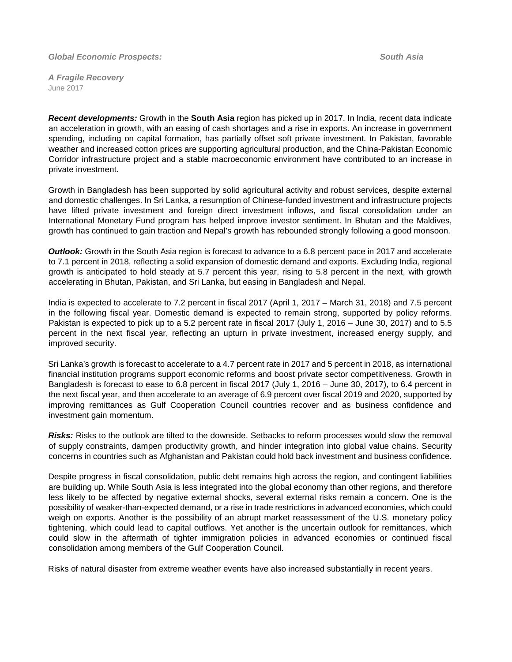*Global Economic Prospects:**South Asia*

*A Fragile Recovery* June 2017

*Recent developments:* Growth in the **South Asia** region has picked up in 2017. In India, recent data indicate an acceleration in growth, with an easing of cash shortages and a rise in exports. An increase in government spending, including on capital formation, has partially offset soft private investment. In Pakistan, favorable weather and increased cotton prices are supporting agricultural production, and the China-Pakistan Economic Corridor infrastructure project and a stable macroeconomic environment have contributed to an increase in private investment.

Growth in Bangladesh has been supported by solid agricultural activity and robust services, despite external and domestic challenges. In Sri Lanka, a resumption of Chinese-funded investment and infrastructure projects have lifted private investment and foreign direct investment inflows, and fiscal consolidation under an International Monetary Fund program has helped improve investor sentiment. In Bhutan and the Maldives, growth has continued to gain traction and Nepal's growth has rebounded strongly following a good monsoon.

*Outlook:* Growth in the South Asia region is forecast to advance to a 6.8 percent pace in 2017 and accelerate to 7.1 percent in 2018, reflecting a solid expansion of domestic demand and exports. Excluding India, regional growth is anticipated to hold steady at 5.7 percent this year, rising to 5.8 percent in the next, with growth accelerating in Bhutan, Pakistan, and Sri Lanka, but easing in Bangladesh and Nepal.

India is expected to accelerate to 7.2 percent in fiscal 2017 (April 1, 2017 – March 31, 2018) and 7.5 percent in the following fiscal year. Domestic demand is expected to remain strong, supported by policy reforms. Pakistan is expected to pick up to a 5.2 percent rate in fiscal 2017 (July 1, 2016 – June 30, 2017) and to 5.5 percent in the next fiscal year, reflecting an upturn in private investment, increased energy supply, and improved security.

Sri Lanka's growth is forecast to accelerate to a 4.7 percent rate in 2017 and 5 percent in 2018, as international financial institution programs support economic reforms and boost private sector competitiveness. Growth in Bangladesh is forecast to ease to 6.8 percent in fiscal 2017 (July 1, 2016 – June 30, 2017), to 6.4 percent in the next fiscal year, and then accelerate to an average of 6.9 percent over fiscal 2019 and 2020, supported by improving remittances as Gulf Cooperation Council countries recover and as business confidence and investment gain momentum.

*Risks:* Risks to the outlook are tilted to the downside. Setbacks to reform processes would slow the removal of supply constraints, dampen productivity growth, and hinder integration into global value chains. Security concerns in countries such as Afghanistan and Pakistan could hold back investment and business confidence.

Despite progress in fiscal consolidation, public debt remains high across the region, and contingent liabilities are building up. While South Asia is less integrated into the global economy than other regions, and therefore less likely to be affected by negative external shocks, several external risks remain a concern. One is the possibility of weaker-than-expected demand, or a rise in trade restrictions in advanced economies, which could weigh on exports. Another is the possibility of an abrupt market reassessment of the U.S. monetary policy tightening, which could lead to capital outflows. Yet another is the uncertain outlook for remittances, which could slow in the aftermath of tighter immigration policies in advanced economies or continued fiscal consolidation among members of the Gulf Cooperation Council.

Risks of natural disaster from extreme weather events have also increased substantially in recent years.